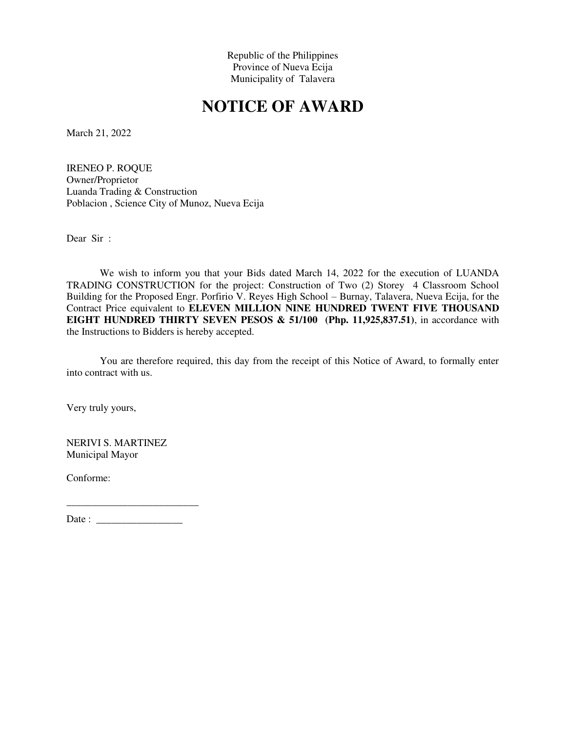Republic of the Philippines Province of Nueva Ecija Municipality of Talavera

## **NOTICE OF AWARD**

March 21, 2022

IRENEO P. ROQUE Owner/Proprietor Luanda Trading & Construction Poblacion , Science City of Munoz, Nueva Ecija

Dear Sir :

We wish to inform you that your Bids dated March 14, 2022 for the execution of LUANDA TRADING CONSTRUCTION for the project: Construction of Two (2) Storey 4 Classroom School Building for the Proposed Engr. Porfirio V. Reyes High School – Burnay, Talavera, Nueva Ecija, for the Contract Price equivalent to **ELEVEN MILLION NINE HUNDRED TWENT FIVE THOUSAND EIGHT HUNDRED THIRTY SEVEN PESOS & 51/100 (Php. 11,925,837.51)**, in accordance with the Instructions to Bidders is hereby accepted.

You are therefore required, this day from the receipt of this Notice of Award, to formally enter into contract with us.

Very truly yours,

NERIVI S. MARTINEZ Municipal Mayor

Conforme:

Date : \_\_\_\_\_\_\_\_\_\_\_\_\_\_\_\_\_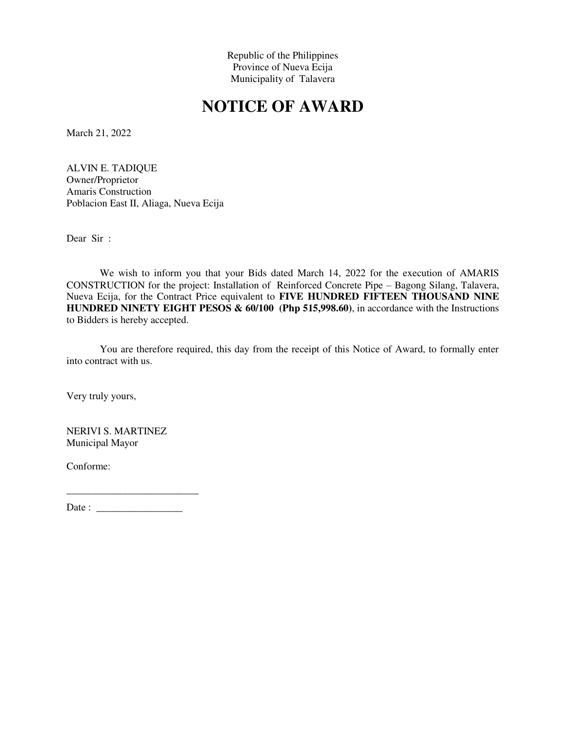Republic of the Philippines Province of Nueva Ecija Municipality of Talavera

## **NOTICE OF AWARD**

March 21, 2022

ALVIN E. TADIQUE Owner/Proprietor Amaris Construction Poblacion East II, Aliaga, Nueva Ecija

Dear Sir :

We wish to inform you that your Bids dated March 14, 2022 for the execution of AMARIS CONSTRUCTION for the project: Installation of Reinforced Concrete Pipe – Bagong Silang, Talavera, Nueva Ecija, for the Contract Price equivalent to **FIVE HUNDRED FIFTEEN THOUSAND NINE HUNDRED NINETY EIGHT PESOS & 60/100 (Php 515,998.60)**, in accordance with the Instructions to Bidders is hereby accepted.

You are therefore required, this day from the receipt of this Notice of Award, to formally enter into contract with us.

Very truly yours,

NERIVI S. MARTINEZ Municipal Mayor

Conforme:

\_\_\_\_\_\_\_\_\_\_\_\_\_\_\_\_\_\_\_\_\_\_\_\_\_\_ Date : \_\_\_\_\_\_\_\_\_\_\_\_\_\_\_\_\_